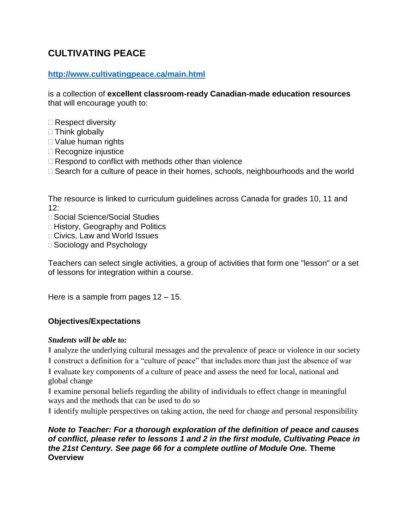# **CULTIVATING PEACE**

### **<http://www.cultivatingpeace.ca/main.html>**

is a collection of **excellent classroom-ready Canadian-made education resources**  that will encourage youth to:

- $\square$  Respect diversity
- $\Box$  Think globally
- Value human rights
- □ Recognize injustice
- $\Box$  Respond to conflict with methods other than violence
- $\Box$  Search for a culture of peace in their homes, schools, neighbourhoods and the world

The resource is linked to curriculum guidelines across Canada for grades 10, 11 and  $12:$ 

- □ Social Science/Social Studies
- □ History, Geography and Politics
- □ Civics, Law and World Issues
- □ Sociology and Psychology

Teachers can select single activities, a group of activities that form one "lesson" or a set of lessons for integration within a course.

He*r*e is a sample from pages 12 – 15.

# **Objectives/Expectations**

### *Students will be able to:*

I analyze the underlying cultural messages and the prevalence of peace or violence in our society

❚ construct a definition for a "culture of peace" that includes more than just the absence of war ❚ evaluate key components of a culture of peace and assess the need for local, national and global change

❚ examine personal beliefs regarding the ability of individuals to effect change in meaningful ways and the methods that can be used to do so

If identify multiple perspectives on taking action, the need for change and personal responsibility

*Note to Teacher: For a thorough exploration of the definition of peace and causes of conflict, please refer to lessons 1 and 2 in the first module, Cultivating Peace in the 21st Century. See page 66 for a complete outline of Module One.* **Theme Overview**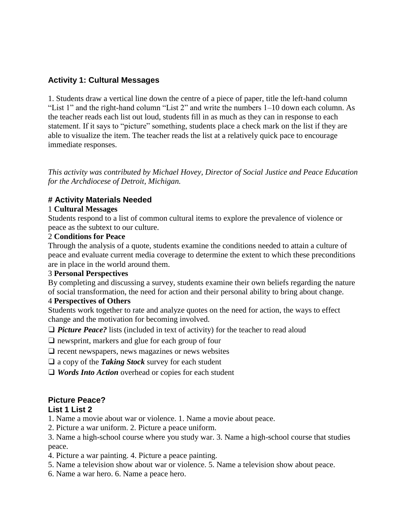### **Activity 1: Cultural Messages**

1. Students draw a vertical line down the centre of a piece of paper, title the left-hand column "List 1" and the right-hand column "List 2" and write the numbers 1–10 down each column. As the teacher reads each list out loud, students fill in as much as they can in response to each statement. If it says to "picture" something, students place a check mark on the list if they are able to visualize the item. The teacher reads the list at a relatively quick pace to encourage immediate responses.

*This activity was contributed by Michael Hovey, Director of Social Justice and Peace Education for the Archdiocese of Detroit, Michigan.*

### **# Activity Materials Needed**

#### 1 **Cultural Messages**

Students respond to a list of common cultural items to explore the prevalence of violence or peace as the subtext to our culture.

#### 2 **Conditions for Peace**

Through the analysis of a quote, students examine the conditions needed to attain a culture of peace and evaluate current media coverage to determine the extent to which these preconditions are in place in the world around them.

#### 3 **Personal Perspectives**

By completing and discussing a survey, students examine their own beliefs regarding the nature of social transformation, the need for action and their personal ability to bring about change.

### 4 **Perspectives of Others**

Students work together to rate and analyze quotes on the need for action, the ways to effect change and the motivation for becoming involved.

□ *Picture Peace?* lists (included in text of activity) for the teacher to read aloud

❑ newsprint, markers and glue for each group of four

- ❑ recent newspapers, news magazines or news websites
- ❑ a copy of the *Taking Stock* survey for each student
- □ *Words Into Action* overhead or copies for each student

# **Picture Peace?**

### **List 1 List 2**

1. Name a movie about war or violence. 1. Name a movie about peace.

2. Picture a war uniform. 2. Picture a peace uniform.

3. Name a high-school course where you study war. 3. Name a high-school course that studies peace.

- 4. Picture a war painting. 4. Picture a peace painting.
- 5. Name a television show about war or violence. 5. Name a television show about peace.
- 6. Name a war hero. 6. Name a peace hero.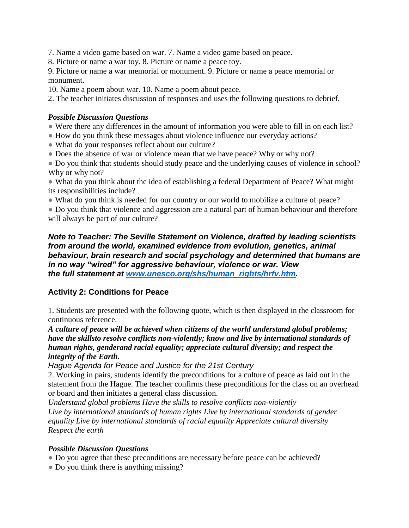7. Name a video game based on war. 7. Name a video game based on peace.

8. Picture or name a war toy. 8. Picture or name a peace toy.

9. Picture or name a war memorial or monument. 9. Picture or name a peace memorial or monument.

10. Name a poem about war. 10. Name a poem about peace.

2. The teacher initiates discussion of responses and uses the following questions to debrief.

#### *Possible Discussion Questions*

• Were there any differences in the amount of information you were able to fill in on each list?

- How do you think these messages about violence influence our everyday actions?
- What do your responses reflect about our culture?
- Does the absence of war or violence mean that we have peace? Why or why not?

• Do you think that students should study peace and the underlying causes of violence in school? Why or why not?

• What do you think about the idea of establishing a federal Department of Peace? What might its responsibilities include?

• What do you think is needed for our country or our world to mobilize a culture of peace?

• Do you think that violence and aggression are a natural part of human behaviour and therefore will always be part of our culture?

#### *Note to Teacher: The Seville Statement on Violence, drafted by leading scientists from around the world, examined evidence from evolution, genetics, animal behaviour, brain research and social psychology and determined that humans are in no way "wired" for aggressive behaviour, violence or war. View the full statement at [www.unesco.org/shs/human\\_rights/hrfv.htm.](http://www.unesco.org/shs/human_rights/hrfv.htm)*

# **Activity 2: Conditions for Peace**

1. Students are presented with the following quote, which is then displayed in the classroom for continuous reference.

*A culture of peace will be achieved when citizens of the world understand global problems; have the skillsto resolve conflicts non-violently; know and live by international standards of human rights, genderand racial equality; appreciate cultural diversity; and respect the integrity of the Earth.*

*Hague Agenda for Peace and Justice for the 21st Century*

2. Working in pairs, students identify the preconditions for a culture of peace as laid out in the statement from the Hague. The teacher confirms these preconditions for the class on an overhead or board and then initiates a general class discussion.

*Understand global problems Have the skills to resolve conflicts non-violently Live by international standards of human rights Live by international standards of gender equality Live by international standards of racial equality Appreciate cultural diversity Respect the earth*

### *Possible Discussion Questions*

• Do you agree that these preconditions are necessary before peace can be achieved?

• Do you think there is anything missing?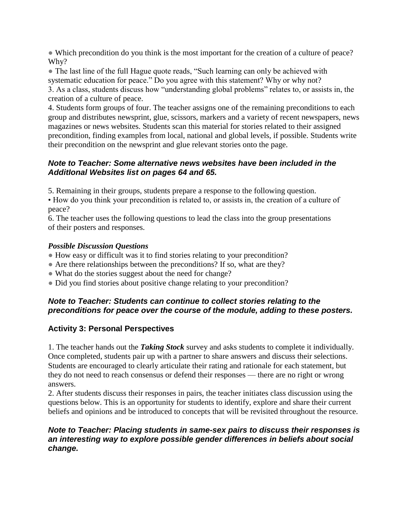• Which precondition do you think is the most important for the creation of a culture of peace? Why?

• The last line of the full Hague quote reads, "Such learning can only be achieved with systematic education for peace." Do you agree with this statement? Why or why not?

3. As a class, students discuss how "understanding global problems" relates to, or assists in, the creation of a culture of peace.

4. Students form groups of four. The teacher assigns one of the remaining preconditions to each group and distributes newsprint, glue, scissors, markers and a variety of recent newspapers, news magazines or news websites. Students scan this material for stories related to their assigned precondition, finding examples from local, national and global levels, if possible. Students write their precondition on the newsprint and glue relevant stories onto the page.

### *Note to Teacher: Some alternative news websites have been included in the AdditIonal Websites list on pages 64 and 65.*

5. Remaining in their groups, students prepare a response to the following question.

• How do you think your precondition is related to, or assists in, the creation of a culture of peace?

6. The teacher uses the following questions to lead the class into the group presentations of their posters and responses.

### *Possible Discussion Questions*

- How easy or difficult was it to find stories relating to your precondition?
- Are there relationships between the preconditions? If so, what are they?
- What do the stories suggest about the need for change?
- Did you find stories about positive change relating to your precondition?

### *Note to Teacher: Students can continue to collect stories relating to the preconditions for peace over the course of the module, adding to these posters.*

# **Activity 3: Personal Perspectives**

1. The teacher hands out the *Taking Stock* survey and asks students to complete it individually. Once completed, students pair up with a partner to share answers and discuss their selections. Students are encouraged to clearly articulate their rating and rationale for each statement, but they do not need to reach consensus or defend their responses — there are no right or wrong answers.

2. After students discuss their responses in pairs, the teacher initiates class discussion using the questions below. This is an opportunity for students to identify, explore and share their current beliefs and opinions and be introduced to concepts that will be revisited throughout the resource.

### *Note to Teacher: Placing students in same-sex pairs to discuss their responses is an interesting way to explore possible gender differences in beliefs about social change.*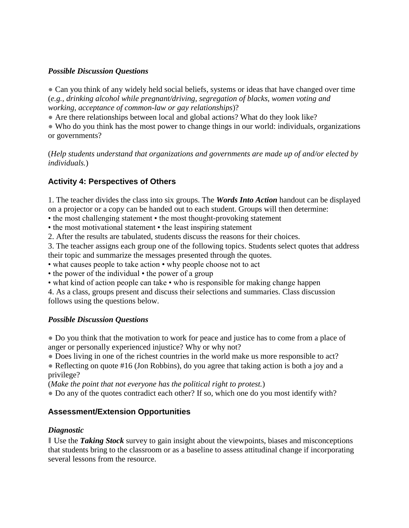### *Possible Discussion Questions*

• Can you think of any widely held social beliefs, systems or ideas that have changed over time (*e.g., drinking alcohol while pregnant/driving, segregation of blacks, women voting and working, acceptance of common-law or gay relationships*)?

• Are there relationships between local and global actions? What do they look like?

• Who do you think has the most power to change things in our world: individuals, organizations or governments?

(*Help students understand that organizations and governments are made up of and/or elected by individuals.*)

# **Activity 4: Perspectives of Others**

1. The teacher divides the class into six groups. The *Words Into Action* handout can be displayed on a projector or a copy can be handed out to each student. Groups will then determine:

• the most challenging statement • the most thought-provoking statement

• the most motivational statement • the least inspiring statement

2. After the results are tabulated, students discuss the reasons for their choices.

3. The teacher assigns each group one of the following topics. Students select quotes that address their topic and summarize the messages presented through the quotes.

• what causes people to take action • why people choose not to act

• the power of the individual • the power of a group

• what kind of action people can take • who is responsible for making change happen

4. As a class, groups present and discuss their selections and summaries. Class discussion follows using the questions below.

### *Possible Discussion Questions*

● Do you think that the motivation to work for peace and justice has to come from a place of anger or personally experienced injustice? Why or why not?

• Does living in one of the richest countries in the world make us more responsible to act?

• Reflecting on quote #16 (Jon Robbins), do you agree that taking action is both a joy and a privilege?

(*Make the point that not everyone has the political right to protest.*)

● Do any of the quotes contradict each other? If so, which one do you most identify with?

# **Assessment/Extension Opportunities**

### *Diagnostic*

❚ Use the *Taking Stock* survey to gain insight about the viewpoints, biases and misconceptions that students bring to the classroom or as a baseline to assess attitudinal change if incorporating several lessons from the resource.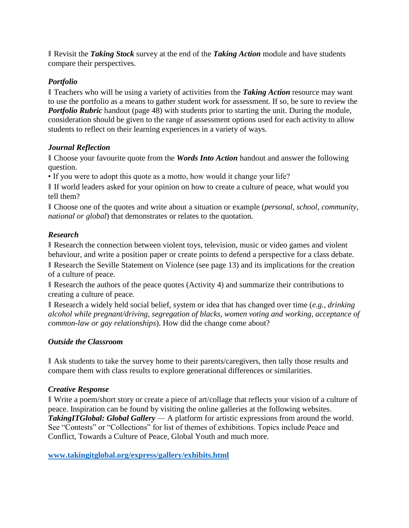❚ Revisit the *Taking Stock* survey at the end of the *Taking Action* module and have students compare their perspectives.

#### *Portfolio*

❚ Teachers who will be using a variety of activities from the *Taking Action* resource may want to use the portfolio as a means to gather student work for assessment. If so, be sure to review the *Portfolio Rubric* handout (page 48) with students prior to starting the unit. During the module, consideration should be given to the range of assessment options used for each activity to allow students to reflect on their learning experiences in a variety of ways.

#### *Journal Reflection*

■ Choose your favourite quote from the *Words Into Action* handout and answer the following question.

• If you were to adopt this quote as a motto, how would it change your life?

❚ If world leaders asked for your opinion on how to create a culture of peace, what would you tell them?

■ Choose one of the quotes and write about a situation or example (*personal, school, community, national or global*) that demonstrates or relates to the quotation.

#### *Research*

❚ Research the connection between violent toys, television, music or video games and violent behaviour, and write a position paper or create points to defend a perspective for a class debate.

❚ Research the Seville Statement on Violence (see page 13) and its implications for the creation of a culture of peace.

Research the authors of the peace quotes (Activity 4) and summarize their contributions to creating a culture of peace.

■ Research a widely held social belief, system or idea that has changed over time (*e.g., drinking alcohol while pregnant/driving, segregation of blacks, women voting and working, acceptance of common-law or gay relationships*). How did the change come about?

#### *Outside the Classroom*

■ Ask students to take the survey home to their parents/caregivers, then tally those results and compare them with class results to explore generational differences or similarities.

#### *Creative Response*

❚ Write a poem/short story or create a piece of art/collage that reflects your vision of a culture of peace. Inspiration can be found by visiting the online galleries at the following websites. *TakingITGlobal: Global Gallery* — A platform for artistic expressions from around the world. See "Contests" or "Collections" for list of themes of exhibitions. Topics include Peace and Conflict, Towards a Culture of Peace, Global Youth and much more.

**[www.takingitglobal.org/express/gallery/exhibits.html](http://www.takingitglobal.org/express/gallery/exhibits.html)**